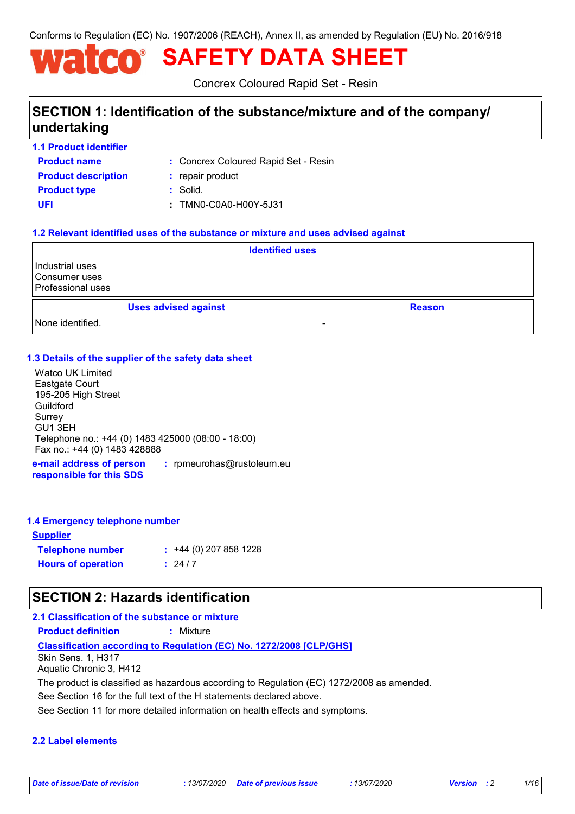Conforms to Regulation (EC) No. 1907/2006 (REACH), Annex II, as amended by Regulation (EU) No. 2016/918

# **SAFETY DATA SHEET**

Concrex Coloured Rapid Set - Resin

## **SECTION 1: Identification of the substance/mixture and of the company/ undertaking**

**1.1 Product identifier**

Concrex Coloured Rapid Set - Resin **:**

**Product name Product type :** Solid. **Product description :** repair product

- 
- 
- **UFI :** TMN0-C0A0-H00Y-5J31

## **1.2 Relevant identified uses of the substance or mixture and uses advised against**

| <b>Identified uses</b>                                         |                             |  |  |               |
|----------------------------------------------------------------|-----------------------------|--|--|---------------|
| Industrial uses<br>l Consumer uses<br><b>Professional uses</b> |                             |  |  |               |
|                                                                | <b>Uses advised against</b> |  |  | <b>Reason</b> |
| None identified.                                               |                             |  |  |               |

## **1.3 Details of the supplier of the safety data sheet**

Watco UK Limited Eastgate Court 195-205 High Street Guildford Surrey GU1 3EH Telephone no.: +44 (0) 1483 425000 (08:00 - 18:00) Fax no.: +44 (0) 1483 428888

**e-mail address of person responsible for this SDS :** rpmeurohas@rustoleum.eu

## **1.4 Emergency telephone number**

| <u>Supplier</u>           |                             |
|---------------------------|-----------------------------|
| <b>Telephone number</b>   | $\div$ +44 (0) 207 858 1228 |
| <b>Hours of operation</b> | : 24/7                      |

## **SECTION 2: Hazards identification**

## **2.1 Classification of the substance or mixture**

**Product definition :** Mixture

## **Classification according to Regulation (EC) No. 1272/2008 [CLP/GHS]**

Skin Sens. 1, H317 Aquatic Chronic 3, H412

The product is classified as hazardous according to Regulation (EC) 1272/2008 as amended.

See Section 16 for the full text of the H statements declared above.

See Section 11 for more detailed information on health effects and symptoms.

## **2.2 Label elements**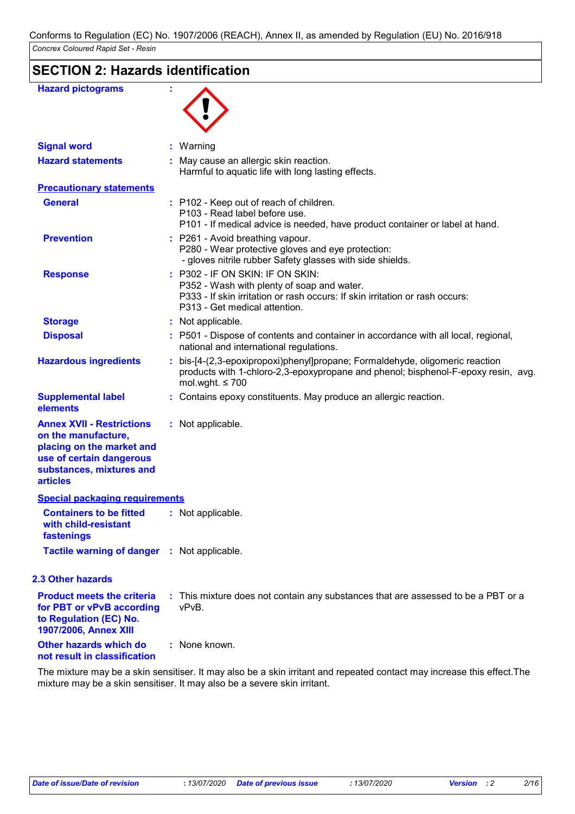| <b>Hazard pictograms</b>                                                                                                                                        |                                                                                                                                                                                                 |
|-----------------------------------------------------------------------------------------------------------------------------------------------------------------|-------------------------------------------------------------------------------------------------------------------------------------------------------------------------------------------------|
| <b>Signal word</b>                                                                                                                                              | : Warning                                                                                                                                                                                       |
| <b>Hazard statements</b>                                                                                                                                        | : May cause an allergic skin reaction.<br>Harmful to aquatic life with long lasting effects.                                                                                                    |
| <b>Precautionary statements</b>                                                                                                                                 |                                                                                                                                                                                                 |
| <b>General</b>                                                                                                                                                  | : P102 - Keep out of reach of children.<br>P103 - Read label before use.<br>P101 - If medical advice is needed, have product container or label at hand.                                        |
| <b>Prevention</b>                                                                                                                                               | : P261 - Avoid breathing vapour.<br>P280 - Wear protective gloves and eye protection:<br>- gloves nitrile rubber Safety glasses with side shields.                                              |
| <b>Response</b>                                                                                                                                                 | : P302 - IF ON SKIN: IF ON SKIN:<br>P352 - Wash with plenty of soap and water.<br>P333 - If skin irritation or rash occurs: If skin irritation or rash occurs:<br>P313 - Get medical attention. |
| <b>Storage</b>                                                                                                                                                  | : Not applicable.                                                                                                                                                                               |
| <b>Disposal</b>                                                                                                                                                 | : P501 - Dispose of contents and container in accordance with all local, regional,<br>national and international regulations.                                                                   |
| <b>Hazardous ingredients</b>                                                                                                                                    | bis-[4-(2,3-epoxipropoxi)phenyl]propane; Formaldehyde, oligomeric reaction<br>products with 1-chloro-2,3-epoxypropane and phenol; bisphenol-F-epoxy resin, avg.<br>mol.wght. $\leq 700$         |
| <b>Supplemental label</b><br>elements                                                                                                                           | Contains epoxy constituents. May produce an allergic reaction.                                                                                                                                  |
| <b>Annex XVII - Restrictions</b><br>on the manufacture,<br>placing on the market and<br>use of certain dangerous<br>substances, mixtures and<br><b>articles</b> | : Not applicable.                                                                                                                                                                               |
| <b>Special packaging requirements</b>                                                                                                                           |                                                                                                                                                                                                 |
| <b>Containers to be fitted</b><br>with child-resistant<br>fastenings                                                                                            | : Not applicable.                                                                                                                                                                               |
| <b>Tactile warning of danger : Not applicable.</b>                                                                                                              |                                                                                                                                                                                                 |
| <b>2.3 Other hazards</b>                                                                                                                                        |                                                                                                                                                                                                 |
| <b>Product meets the criteria</b><br>for PBT or vPvB according<br>to Regulation (EC) No.<br>1907/2006, Annex XIII                                               | : This mixture does not contain any substances that are assessed to be a PBT or a<br>vPvB.                                                                                                      |
| <b>Other hazards which do</b><br>not result in classification                                                                                                   | : None known.                                                                                                                                                                                   |

The mixture may be a skin sensitiser. It may also be a skin irritant and repeated contact may increase this effect.The mixture may be a skin sensitiser. It may also be a severe skin irritant.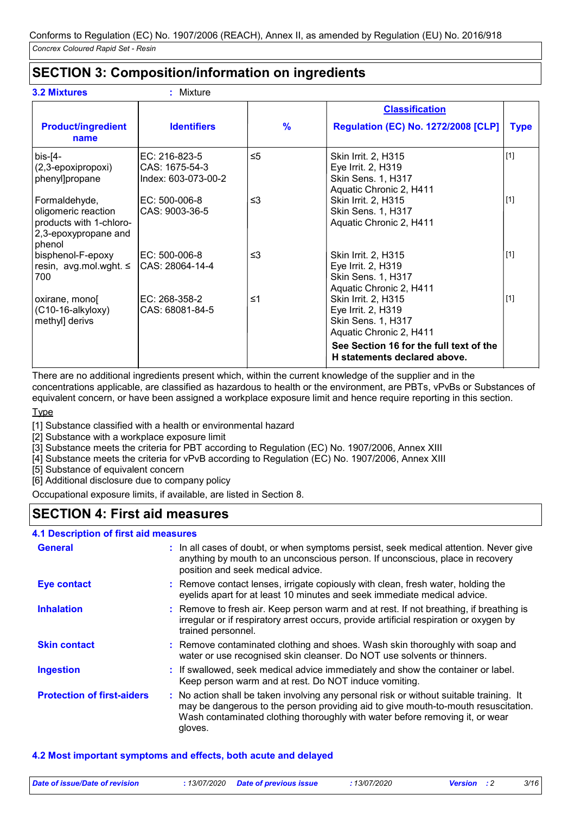## **SECTION 3: Composition/information on ingredients**

| <b>3.2 Mixtures</b>                                                                               | Mixture                                                |               |                                                                                                                                                                              |             |
|---------------------------------------------------------------------------------------------------|--------------------------------------------------------|---------------|------------------------------------------------------------------------------------------------------------------------------------------------------------------------------|-------------|
|                                                                                                   |                                                        |               | <b>Classification</b>                                                                                                                                                        |             |
| <b>Product/ingredient</b><br>name                                                                 | <b>Identifiers</b>                                     | $\frac{9}{6}$ | <b>Regulation (EC) No. 1272/2008 [CLP]</b>                                                                                                                                   | <b>Type</b> |
| $bis$ - $[4-$<br>(2,3-epoxipropoxi)<br>phenyl]propane                                             | EC: 216-823-5<br>CAS: 1675-54-3<br>Index: 603-073-00-2 | $\leq 5$      | Skin Irrit. 2, H315<br>Eye Irrit. 2, H319<br><b>Skin Sens. 1, H317</b><br>Aquatic Chronic 2, H411                                                                            | $[1]$       |
| Formaldehyde,<br>oligomeric reaction<br>products with 1-chloro-<br>2,3-epoxypropane and<br>phenol | EC: 500-006-8<br>CAS: 9003-36-5                        | $\leq$ 3      | Skin Irrit. 2, H315<br>Skin Sens. 1, H317<br>Aquatic Chronic 2, H411                                                                                                         | $[1]$       |
| bisphenol-F-epoxy<br>resin, $avg.mol.wight. \leq$<br>700                                          | IEC: 500-006-8<br>CAS: 28064-14-4                      | ≤3            | Skin Irrit. 2, H315<br>Eye Irrit. 2, H319<br>Skin Sens. 1, H317<br>Aquatic Chronic 2, H411                                                                                   | $[1]$       |
| oxirane, mono<br>(C10-16-alkyloxy)<br>methyl] derivs                                              | EC: 268-358-2<br>CAS: 68081-84-5                       | ≤1            | Skin Irrit. 2, H315<br>Eye Irrit. 2, H319<br><b>Skin Sens. 1, H317</b><br>Aquatic Chronic 2, H411<br>See Section 16 for the full text of the<br>H statements declared above. | [1]         |

There are no additional ingredients present which, within the current knowledge of the supplier and in the concentrations applicable, are classified as hazardous to health or the environment, are PBTs, vPvBs or Substances of equivalent concern, or have been assigned a workplace exposure limit and hence require reporting in this section.

## Type

[1] Substance classified with a health or environmental hazard

- [2] Substance with a workplace exposure limit
- [3] Substance meets the criteria for PBT according to Regulation (EC) No. 1907/2006, Annex XIII
- [4] Substance meets the criteria for vPvB according to Regulation (EC) No. 1907/2006, Annex XIII

[5] Substance of equivalent concern

[6] Additional disclosure due to company policy

Occupational exposure limits, if available, are listed in Section 8.

## **SECTION 4: First aid measures**

## **4.1 Description of first aid measures**

| <b>General</b>                    | : In all cases of doubt, or when symptoms persist, seek medical attention. Never give<br>anything by mouth to an unconscious person. If unconscious, place in recovery<br>position and seek medical advice.                                                              |
|-----------------------------------|--------------------------------------------------------------------------------------------------------------------------------------------------------------------------------------------------------------------------------------------------------------------------|
| <b>Eye contact</b>                | : Remove contact lenses, irrigate copiously with clean, fresh water, holding the<br>eyelids apart for at least 10 minutes and seek immediate medical advice.                                                                                                             |
| <b>Inhalation</b>                 | : Remove to fresh air. Keep person warm and at rest. If not breathing, if breathing is<br>irregular or if respiratory arrest occurs, provide artificial respiration or oxygen by<br>trained personnel.                                                                   |
| <b>Skin contact</b>               | : Remove contaminated clothing and shoes. Wash skin thoroughly with soap and<br>water or use recognised skin cleanser. Do NOT use solvents or thinners.                                                                                                                  |
| <b>Ingestion</b>                  | : If swallowed, seek medical advice immediately and show the container or label.<br>Keep person warm and at rest. Do NOT induce vomiting.                                                                                                                                |
| <b>Protection of first-aiders</b> | : No action shall be taken involving any personal risk or without suitable training. It<br>may be dangerous to the person providing aid to give mouth-to-mouth resuscitation.<br>Wash contaminated clothing thoroughly with water before removing it, or wear<br>gloves. |

## **4.2 Most important symptoms and effects, both acute and delayed**

| Date of issue/Date of revision | : 13/07/2020 Date of previous issue | 13/07/2020 | <b>Version</b> | 3/16 |
|--------------------------------|-------------------------------------|------------|----------------|------|
|                                |                                     |            |                |      |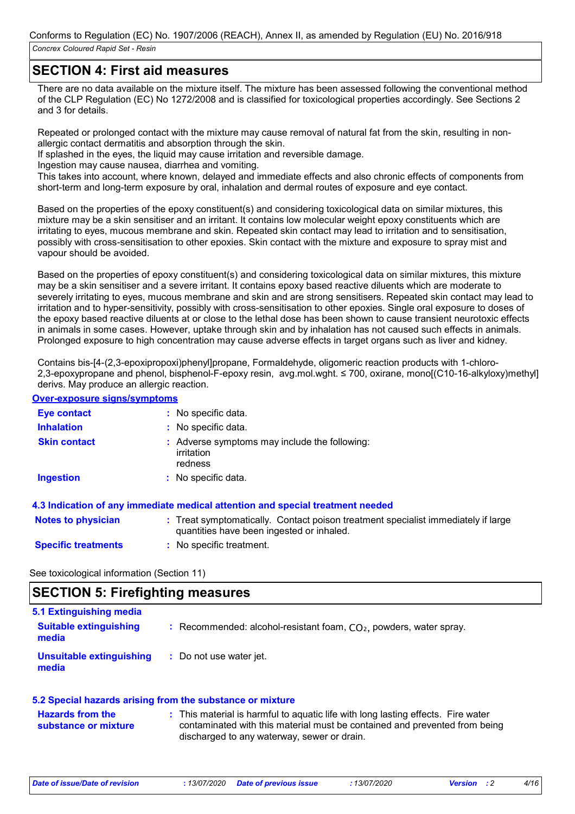## **SECTION 4: First aid measures**

There are no data available on the mixture itself. The mixture has been assessed following the conventional method of the CLP Regulation (EC) No 1272/2008 and is classified for toxicological properties accordingly. See Sections 2 and 3 for details.

Repeated or prolonged contact with the mixture may cause removal of natural fat from the skin, resulting in nonallergic contact dermatitis and absorption through the skin.

If splashed in the eyes, the liquid may cause irritation and reversible damage.

Ingestion may cause nausea, diarrhea and vomiting.

This takes into account, where known, delayed and immediate effects and also chronic effects of components from short-term and long-term exposure by oral, inhalation and dermal routes of exposure and eye contact.

Based on the properties of the epoxy constituent(s) and considering toxicological data on similar mixtures, this mixture may be a skin sensitiser and an irritant. It contains low molecular weight epoxy constituents which are irritating to eyes, mucous membrane and skin. Repeated skin contact may lead to irritation and to sensitisation, possibly with cross-sensitisation to other epoxies. Skin contact with the mixture and exposure to spray mist and vapour should be avoided.

Based on the properties of epoxy constituent(s) and considering toxicological data on similar mixtures, this mixture may be a skin sensitiser and a severe irritant. It contains epoxy based reactive diluents which are moderate to severely irritating to eyes, mucous membrane and skin and are strong sensitisers. Repeated skin contact may lead to irritation and to hyper-sensitivity, possibly with cross-sensitisation to other epoxies. Single oral exposure to doses of the epoxy based reactive diluents at or close to the lethal dose has been shown to cause transient neurotoxic effects in animals in some cases. However, uptake through skin and by inhalation has not caused such effects in animals. Prolonged exposure to high concentration may cause adverse effects in target organs such as liver and kidney.

Contains bis-[4-(2,3-epoxipropoxi)phenyl]propane, Formaldehyde, oligomeric reaction products with 1-chloro-2,3-epoxypropane and phenol, bisphenol-F-epoxy resin, avg.mol.wght. ≤ 700, oxirane, mono[(C10-16-alkyloxy)methyl] derivs. May produce an allergic reaction.

## **Over-exposure signs/symptoms**

| <b>Eye contact</b>         | : No specific data.                                                                                                            |
|----------------------------|--------------------------------------------------------------------------------------------------------------------------------|
| <b>Inhalation</b>          | : No specific data.                                                                                                            |
| <b>Skin contact</b>        | : Adverse symptoms may include the following:<br>irritation<br>redness                                                         |
| <b>Ingestion</b>           | : No specific data.                                                                                                            |
|                            | 4.3 Indication of any immediate medical attention and special treatment needed                                                 |
| <b>Notes to physician</b>  | : Treat symptomatically. Contact poison treatment specialist immediately if large<br>quantities have been ingested or inhaled. |
| <b>Specific treatments</b> | : No specific treatment.                                                                                                       |

See toxicological information (Section 11)

## **SECTION 5: Firefighting measures**

| 5.1 Extinguishing media                |                                                                      |
|----------------------------------------|----------------------------------------------------------------------|
| <b>Suitable extinguishing</b><br>media | : Recommended: alcohol-resistant foam, $CO2$ , powders, water spray. |
| Unsuitable extinguishing<br>media      | : Do not use water jet.                                              |

## **5.2 Special hazards arising from the substance or mixture**

| <b>Hazards from the</b> | : This material is harmful to aquatic life with long lasting effects. Fire water |
|-------------------------|----------------------------------------------------------------------------------|
| substance or mixture    | contaminated with this material must be contained and prevented from being       |
|                         | discharged to any waterway, sewer or drain.                                      |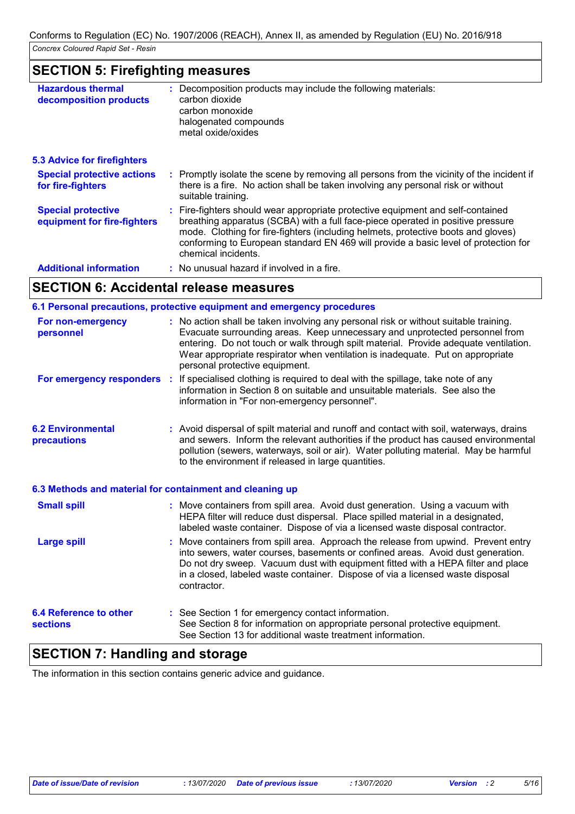## **SECTION 5: Firefighting measures**

| <b>Hazardous thermal</b><br>decomposition products       | : Decomposition products may include the following materials:<br>carbon dioxide<br>carbon monoxide<br>halogenated compounds<br>metal oxide/oxides                                                                                                                                                                                                                     |
|----------------------------------------------------------|-----------------------------------------------------------------------------------------------------------------------------------------------------------------------------------------------------------------------------------------------------------------------------------------------------------------------------------------------------------------------|
| <b>5.3 Advice for firefighters</b>                       |                                                                                                                                                                                                                                                                                                                                                                       |
| <b>Special protective actions</b><br>for fire-fighters   | : Promptly isolate the scene by removing all persons from the vicinity of the incident if<br>there is a fire. No action shall be taken involving any personal risk or without<br>suitable training.                                                                                                                                                                   |
| <b>Special protective</b><br>equipment for fire-fighters | : Fire-fighters should wear appropriate protective equipment and self-contained<br>breathing apparatus (SCBA) with a full face-piece operated in positive pressure<br>mode. Clothing for fire-fighters (including helmets, protective boots and gloves)<br>conforming to European standard EN 469 will provide a basic level of protection for<br>chemical incidents. |
| <b>Additional information</b>                            | : No unusual hazard if involved in a fire.                                                                                                                                                                                                                                                                                                                            |

## **SECTION 6: Accidental release measures**

|                                                          | 6.1 Personal precautions, protective equipment and emergency procedures |                                                                                                                                                                                                                                                                                                                                                                                 |  |  |
|----------------------------------------------------------|-------------------------------------------------------------------------|---------------------------------------------------------------------------------------------------------------------------------------------------------------------------------------------------------------------------------------------------------------------------------------------------------------------------------------------------------------------------------|--|--|
| For non-emergency<br>personnel                           |                                                                         | : No action shall be taken involving any personal risk or without suitable training.<br>Evacuate surrounding areas. Keep unnecessary and unprotected personnel from<br>entering. Do not touch or walk through spilt material. Provide adequate ventilation.<br>Wear appropriate respirator when ventilation is inadequate. Put on appropriate<br>personal protective equipment. |  |  |
|                                                          |                                                                         | <b>For emergency responders</b> : If specialised clothing is required to deal with the spillage, take note of any<br>information in Section 8 on suitable and unsuitable materials. See also the<br>information in "For non-emergency personnel".                                                                                                                               |  |  |
| <b>6.2 Environmental</b><br>precautions                  |                                                                         | : Avoid dispersal of spilt material and runoff and contact with soil, waterways, drains<br>and sewers. Inform the relevant authorities if the product has caused environmental<br>pollution (sewers, waterways, soil or air). Water polluting material. May be harmful<br>to the environment if released in large quantities.                                                   |  |  |
| 6.3 Methods and material for containment and cleaning up |                                                                         |                                                                                                                                                                                                                                                                                                                                                                                 |  |  |
| <b>Small spill</b>                                       |                                                                         | : Move containers from spill area. Avoid dust generation. Using a vacuum with<br>HEPA filter will reduce dust dispersal. Place spilled material in a designated,<br>labeled waste container. Dispose of via a licensed waste disposal contractor.                                                                                                                               |  |  |
| <b>Large spill</b>                                       |                                                                         | Move containers from spill area. Approach the release from upwind. Prevent entry<br>into sewers, water courses, basements or confined areas. Avoid dust generation.<br>Do not dry sweep. Vacuum dust with equipment fitted with a HEPA filter and place<br>in a closed, labeled waste container. Dispose of via a licensed waste disposal<br>contractor.                        |  |  |
| <b>6.4 Reference to other</b><br><b>sections</b>         |                                                                         | : See Section 1 for emergency contact information.<br>See Section 8 for information on appropriate personal protective equipment.<br>See Section 13 for additional waste treatment information.                                                                                                                                                                                 |  |  |

## **SECTION 7: Handling and storage**

The information in this section contains generic advice and guidance.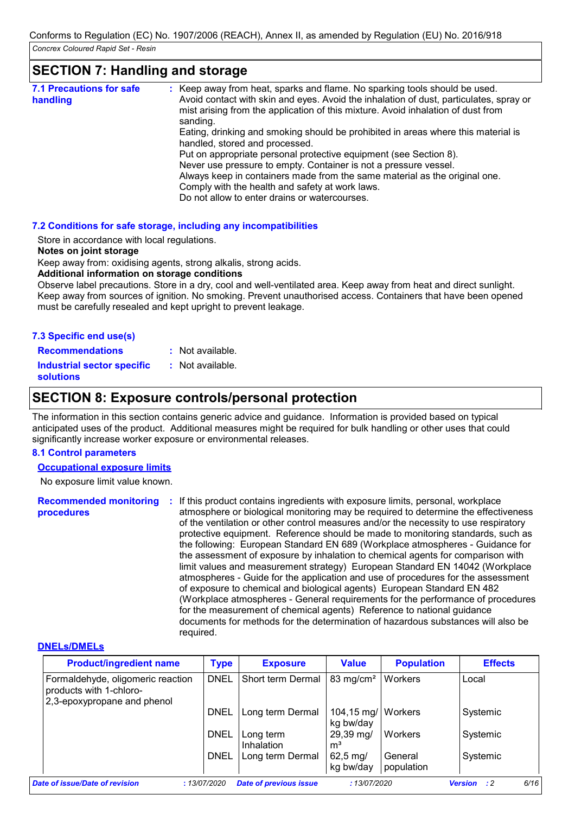#### **SECTION 7: Handling and storage :** Keep away from heat, sparks and flame. No sparking tools should be used. Avoid contact with skin and eyes. Avoid the inhalation of dust, particulates, spray or mist arising from the application of this mixture. Avoid inhalation of dust from sanding. Eating, drinking and smoking should be prohibited in areas where this material is handled, stored and processed. Put on appropriate personal protective equipment (see Section 8). Never use pressure to empty. Container is not a pressure vessel. Always keep in containers made from the same material as the original one. Comply with the health and safety at work laws. Do not allow to enter drains or watercourses. **7.1 Precautions for safe handling**

#### **7.2 Conditions for safe storage, including any incompatibilities**

Store in accordance with local regulations.

#### **Notes on joint storage**

Keep away from: oxidising agents, strong alkalis, strong acids.

#### **Additional information on storage conditions**

Observe label precautions. Store in a dry, cool and well-ventilated area. Keep away from heat and direct sunlight. Keep away from sources of ignition. No smoking. Prevent unauthorised access. Containers that have been opened must be carefully resealed and kept upright to prevent leakage.

| 7.3 Specific end use(s)                        |                  |
|------------------------------------------------|------------------|
| <b>Recommendations</b>                         | : Not available. |
| Industrial sector specific<br><b>solutions</b> | : Not available. |

## **SECTION 8: Exposure controls/personal protection**

The information in this section contains generic advice and guidance. Information is provided based on typical anticipated uses of the product. Additional measures might be required for bulk handling or other uses that could significantly increase worker exposure or environmental releases.

#### **8.1 Control parameters**

#### **Occupational exposure limits**

No exposure limit value known.

Recommended monitoring : If this product contains ingredients with exposure limits, personal, workplace **procedures** atmosphere or biological monitoring may be required to determine the effectiveness of the ventilation or other control measures and/or the necessity to use respiratory protective equipment. Reference should be made to monitoring standards, such as the following: European Standard EN 689 (Workplace atmospheres - Guidance for the assessment of exposure by inhalation to chemical agents for comparison with limit values and measurement strategy) European Standard EN 14042 (Workplace atmospheres - Guide for the application and use of procedures for the assessment of exposure to chemical and biological agents) European Standard EN 482 (Workplace atmospheres - General requirements for the performance of procedures for the measurement of chemical agents) Reference to national guidance documents for methods for the determination of hazardous substances will also be required.

#### **DNELs/DMELs**

| <b>Product/ingredient name</b>                                                              | <b>Type</b> | <b>Exposure</b>               | <b>Value</b>                      | <b>Population</b>     | <b>Effects</b>                        |
|---------------------------------------------------------------------------------------------|-------------|-------------------------------|-----------------------------------|-----------------------|---------------------------------------|
| Formaldehyde, oligomeric reaction<br>products with 1-chloro-<br>2,3-epoxypropane and phenol | <b>DNEL</b> | Short term Dermal             | 83 mg/cm <sup>2</sup>             | Workers               | Local                                 |
|                                                                                             | <b>DNEL</b> | Long term Dermal              | 104,15 mg/   Workers<br>kg bw/day |                       | Systemic                              |
|                                                                                             | <b>DNEL</b> | Long term<br>Inhalation       | 29,39 mg/<br>$\mathsf{m}^3$       | Workers               | Systemic                              |
|                                                                                             | <b>DNEL</b> | Long term Dermal              | $62,5 \, \text{mg}$<br>kg bw/day  | General<br>population | Systemic                              |
| Date of issue/Date of revision                                                              | :13/07/2020 | <b>Date of previous issue</b> | :13/07/2020                       |                       | 6/16<br>$\cdot$ : 2<br><b>Version</b> |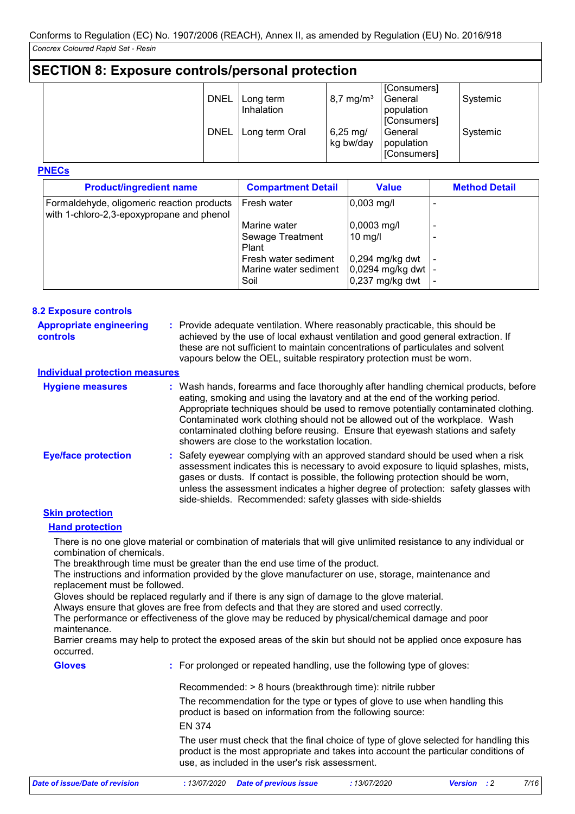## **SECTION 8: Exposure controls/personal protection**

| <b>DNEL</b> | Long term<br>Inhalation | $8,7 \,\mathrm{mg/m^3}$          | [Consumers]<br>General<br>population                | Systemic |
|-------------|-------------------------|----------------------------------|-----------------------------------------------------|----------|
| <b>DNEL</b> | Long term Oral          | $6,25 \, \text{mg}$<br>kg bw/day | [Consumers]<br>General<br>population<br>[Consumers] | Systemic |

#### **PNECs**

| <b>Product/ingredient name</b>                                                          | <b>Compartment Detail</b> | <b>Value</b>          | <b>Method Detail</b> |
|-----------------------------------------------------------------------------------------|---------------------------|-----------------------|----------------------|
| Formaldehyde, oligomeric reaction products<br>with 1-chloro-2,3-epoxypropane and phenol | Fresh water               | $0,003$ mg/l          |                      |
|                                                                                         | Marine water              | $ 0,0003 \text{ mg/}$ |                      |
|                                                                                         | Sewage Treatment<br>Plant | $10$ mg/              |                      |
|                                                                                         | Fresh water sediment      | $0,294$ mg/kg dwt     |                      |
|                                                                                         | Marine water sediment     | 0,0294 mg/kg dwt      |                      |
|                                                                                         | Soil                      | $0,237$ mg/kg dwt     |                      |

#### **8.2 Exposure controls**

| <b>Appropriate engineering</b><br>controls | : Provide adequate ventilation. Where reasonably practicable, this should be<br>achieved by the use of local exhaust ventilation and good general extraction. If<br>these are not sufficient to maintain concentrations of particulates and solvent<br>vapours below the OEL, suitable respiratory protection must be worn.                                                                                                                                                 |
|--------------------------------------------|-----------------------------------------------------------------------------------------------------------------------------------------------------------------------------------------------------------------------------------------------------------------------------------------------------------------------------------------------------------------------------------------------------------------------------------------------------------------------------|
| <b>Individual protection measures</b>      |                                                                                                                                                                                                                                                                                                                                                                                                                                                                             |
| <b>Hygiene measures</b>                    | : Wash hands, forearms and face thoroughly after handling chemical products, before<br>eating, smoking and using the lavatory and at the end of the working period.<br>Appropriate techniques should be used to remove potentially contaminated clothing.<br>Contaminated work clothing should not be allowed out of the workplace. Wash<br>contaminated clothing before reusing. Ensure that eyewash stations and safety<br>showers are close to the workstation location. |
| <b>Eye/face protection</b>                 | : Safety eyewear complying with an approved standard should be used when a risk<br>assessment indicates this is necessary to avoid exposure to liquid splashes, mists,<br>gases or dusts. If contact is possible, the following protection should be worn,<br>unless the assessment indicates a higher degree of protection: safety glasses with<br>side-shields. Recommended: safety glasses with side-shields                                                             |

#### **Skin protection**

#### **Hand protection**

There is no one glove material or combination of materials that will give unlimited resistance to any individual or combination of chemicals.

The breakthrough time must be greater than the end use time of the product.

The instructions and information provided by the glove manufacturer on use, storage, maintenance and replacement must be followed.

Gloves should be replaced regularly and if there is any sign of damage to the glove material.

Always ensure that gloves are free from defects and that they are stored and used correctly.

The performance or effectiveness of the glove may be reduced by physical/chemical damage and poor maintenance.

Barrier creams may help to protect the exposed areas of the skin but should not be applied once exposure has occurred.

**Gloves**

**:** For prolonged or repeated handling, use the following type of gloves:

Recommended: > 8 hours (breakthrough time): nitrile rubber

The recommendation for the type or types of glove to use when handling this product is based on information from the following source:

EN 374

The user must check that the final choice of type of glove selected for handling this product is the most appropriate and takes into account the particular conditions of use, as included in the user's risk assessment.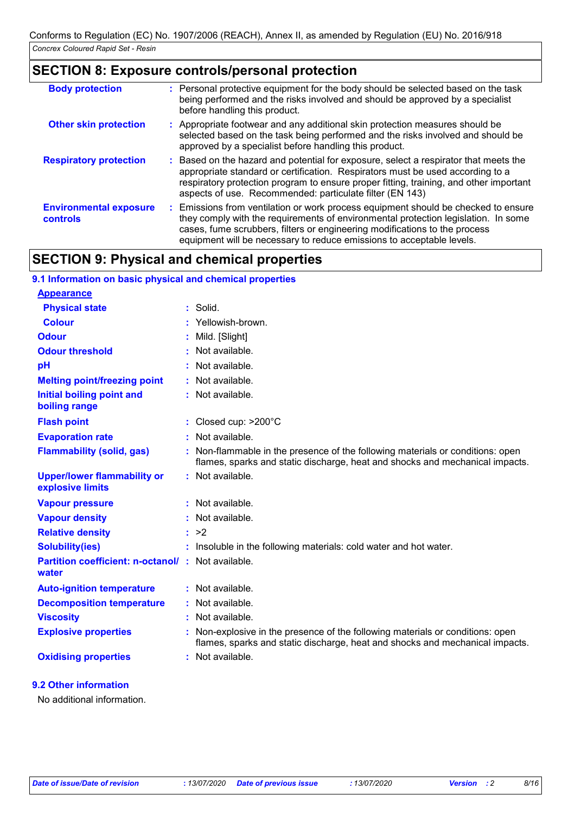## **SECTION 8: Exposure controls/personal protection**

| <b>Body protection</b>                    | : Personal protective equipment for the body should be selected based on the task<br>being performed and the risks involved and should be approved by a specialist<br>before handling this product.                                                                                                                             |
|-------------------------------------------|---------------------------------------------------------------------------------------------------------------------------------------------------------------------------------------------------------------------------------------------------------------------------------------------------------------------------------|
| <b>Other skin protection</b>              | : Appropriate footwear and any additional skin protection measures should be<br>selected based on the task being performed and the risks involved and should be<br>approved by a specialist before handling this product.                                                                                                       |
| <b>Respiratory protection</b>             | : Based on the hazard and potential for exposure, select a respirator that meets the<br>appropriate standard or certification. Respirators must be used according to a<br>respiratory protection program to ensure proper fitting, training, and other important<br>aspects of use. Recommended: particulate filter (EN 143)    |
| <b>Environmental exposure</b><br>controls | : Emissions from ventilation or work process equipment should be checked to ensure<br>they comply with the requirements of environmental protection legislation. In some<br>cases, fume scrubbers, filters or engineering modifications to the process<br>equipment will be necessary to reduce emissions to acceptable levels. |

## **SECTION 9: Physical and chemical properties**

| 9.1 Information on basic physical and chemical properties         |    |                                                                                                                                                              |
|-------------------------------------------------------------------|----|--------------------------------------------------------------------------------------------------------------------------------------------------------------|
| <b>Appearance</b>                                                 |    |                                                                                                                                                              |
| <b>Physical state</b>                                             |    | $:$ Solid.                                                                                                                                                   |
| <b>Colour</b>                                                     |    | Yellowish-brown.                                                                                                                                             |
| <b>Odour</b>                                                      |    | Mild. [Slight]                                                                                                                                               |
| <b>Odour threshold</b>                                            |    | Not available.                                                                                                                                               |
| pH                                                                |    | Not available.                                                                                                                                               |
| <b>Melting point/freezing point</b>                               |    | : Not available.                                                                                                                                             |
| Initial boiling point and<br>boiling range                        |    | : Not available.                                                                                                                                             |
| <b>Flash point</b>                                                |    | : Closed cup: $>200^{\circ}$ C                                                                                                                               |
| <b>Evaporation rate</b>                                           | ÷. | Not available.                                                                                                                                               |
| <b>Flammability (solid, gas)</b>                                  | ÷  | Non-flammable in the presence of the following materials or conditions: open<br>flames, sparks and static discharge, heat and shocks and mechanical impacts. |
| <b>Upper/lower flammability or</b><br>explosive limits            |    | : Not available.                                                                                                                                             |
| <b>Vapour pressure</b>                                            |    | : Not available.                                                                                                                                             |
| <b>Vapour density</b>                                             |    | : Not available.                                                                                                                                             |
| <b>Relative density</b>                                           |    | : >2                                                                                                                                                         |
| <b>Solubility(ies)</b>                                            |    | : Insoluble in the following materials: cold water and hot water.                                                                                            |
| <b>Partition coefficient: n-octanol/: Not available.</b><br>water |    |                                                                                                                                                              |
| <b>Auto-ignition temperature</b>                                  |    | : Not available.                                                                                                                                             |
| <b>Decomposition temperature</b>                                  |    | Not available.                                                                                                                                               |
| <b>Viscosity</b>                                                  |    | : Not available.                                                                                                                                             |
| <b>Explosive properties</b>                                       | t  | Non-explosive in the presence of the following materials or conditions: open<br>flames, sparks and static discharge, heat and shocks and mechanical impacts. |
| <b>Oxidising properties</b>                                       |    | : Not available.                                                                                                                                             |

## **9.2 Other information**

No additional information.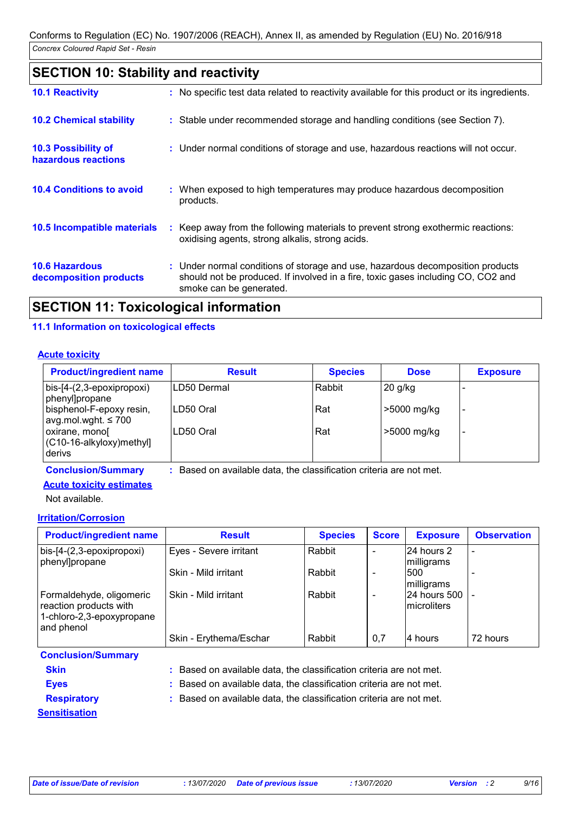## **SECTION 10: Stability and reactivity**

| <b>10.1 Reactivity</b>                          | : No specific test data related to reactivity available for this product or its ingredients.                                                                                                  |
|-------------------------------------------------|-----------------------------------------------------------------------------------------------------------------------------------------------------------------------------------------------|
| <b>10.2 Chemical stability</b>                  | : Stable under recommended storage and handling conditions (see Section 7).                                                                                                                   |
| 10.3 Possibility of<br>hazardous reactions      | : Under normal conditions of storage and use, hazardous reactions will not occur.                                                                                                             |
| <b>10.4 Conditions to avoid</b>                 | : When exposed to high temperatures may produce hazardous decomposition<br>products.                                                                                                          |
| <b>10.5 Incompatible materials</b>              | : Keep away from the following materials to prevent strong exothermic reactions:<br>oxidising agents, strong alkalis, strong acids.                                                           |
| <b>10.6 Hazardous</b><br>decomposition products | : Under normal conditions of storage and use, hazardous decomposition products<br>should not be produced. If involved in a fire, toxic gases including CO, CO2 and<br>smoke can be generated. |
|                                                 |                                                                                                                                                                                               |

## **SECTION 11: Toxicological information**

## **11.1 Information on toxicological effects**

## **Acute toxicity**

| <b>Product/ingredient name</b>                       | <b>Result</b>                                                     | <b>Species</b> | <b>Dose</b> | <b>Exposure</b> |
|------------------------------------------------------|-------------------------------------------------------------------|----------------|-------------|-----------------|
| $bis-[4-(2,3-epoxipropoxi)]$<br>phenyllpropane       | LD50 Dermal                                                       | Rabbit         | $20$ g/kg   |                 |
| bisphenol-F-epoxy resin,<br>avg.mol.wght. $\leq 700$ | LD50 Oral                                                         | Rat            | >5000 mg/kg |                 |
| oxirane, monol<br>(C10-16-alkyloxy)methyl]<br>derivs | LD50 Oral                                                         | Rat            | >5000 mg/kg |                 |
| <b>Conclusion/Summary</b>                            | Based on available data, the classification criteria are not met. |                |             |                 |

## **Acute toxicity estimates**

Not available.

## **Irritation/Corrosion**

| <b>Product/ingredient name</b>                                                                | <b>Result</b>          | <b>Species</b> | <b>Score</b>             | <b>Exposure</b>                | <b>Observation</b>       |
|-----------------------------------------------------------------------------------------------|------------------------|----------------|--------------------------|--------------------------------|--------------------------|
| $\vert$ bis-[4-(2,3-epoxipropoxi)<br>phenyl]propane                                           | Eyes - Severe irritant | Rabbit         |                          | 24 hours 2<br>milligrams       | $\overline{\phantom{a}}$ |
|                                                                                               | Skin - Mild irritant   | Rabbit         |                          | 1500<br>milligrams             |                          |
| Formaldehyde, oligomeric<br>reaction products with<br>1-chloro-2,3-epoxypropane<br>and phenol | Skin - Mild irritant   | Rabbit         | $\overline{\phantom{0}}$ | 24 hours 500 -<br>Imicroliters |                          |
|                                                                                               | Skin - Erythema/Eschar | Rabbit         | 0,7                      | l4 hours                       | 72 hours                 |
| <b>Conclusion/Summary</b>                                                                     |                        |                |                          |                                |                          |

| <b>Skin</b>          | : Based on available data, the classification criteria are not met. |
|----------------------|---------------------------------------------------------------------|
| <b>Eyes</b>          | : Based on available data, the classification criteria are not met. |
| <b>Respiratory</b>   | : Based on available data, the classification criteria are not met. |
| <b>Sensitisation</b> |                                                                     |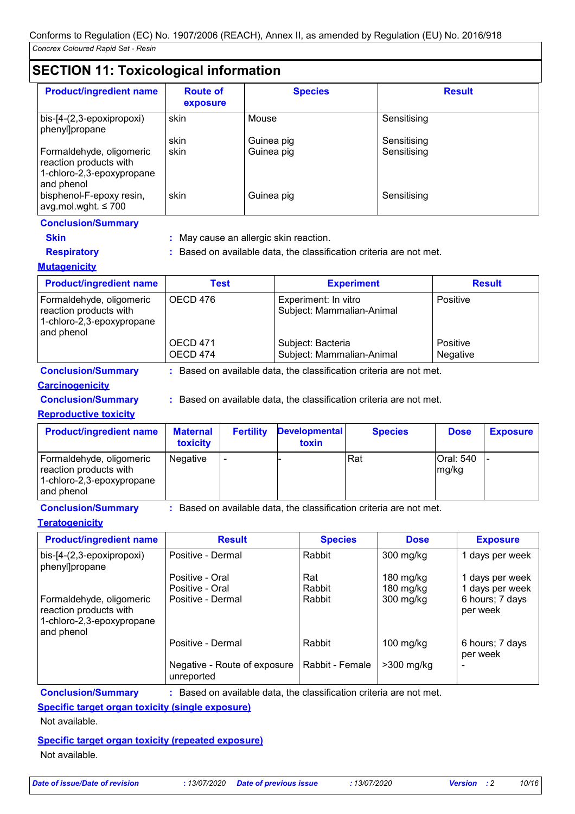## **SECTION 11: Toxicological information**

| <b>Product/ingredient name</b>                       | <b>Route of</b><br>exposure | <b>Species</b> | <b>Result</b> |  |  |
|------------------------------------------------------|-----------------------------|----------------|---------------|--|--|
| bis-[4-(2,3-epoxipropoxi)<br>phenyl]propane          | skin                        | Mouse          | Sensitising   |  |  |
|                                                      | skin                        | Guinea pig     | Sensitising   |  |  |
| Formaldehyde, oligomeric<br>reaction products with   | skin                        | Guinea pig     | Sensitising   |  |  |
| 1-chloro-2,3-epoxypropane<br>and phenol              |                             |                |               |  |  |
| bisphenol-F-epoxy resin,<br>avg.mol.wght. $\leq 700$ | skin                        | Guinea pig     | Sensitising   |  |  |

#### **Conclusion/Summary**

- -
- 
- **Skin :** May cause an allergic skin reaction.
- 
- **Respiratory :** Based on available data, the classification criteria are not met.
- **Mutagenicity**

| <b>Product/ingredient name</b>                                                                | Test                 | <b>Experiment</b>                                 | <b>Result</b>        |
|-----------------------------------------------------------------------------------------------|----------------------|---------------------------------------------------|----------------------|
| Formaldehyde, oligomeric<br>reaction products with<br>1-chloro-2,3-epoxypropane<br>and phenol | OECD 476             | Experiment: In vitro<br>Subject: Mammalian-Animal | Positive             |
|                                                                                               | OECD 471<br>OECD 474 | Subject: Bacteria<br>Subject: Mammalian-Animal    | Positive<br>Negative |

**Conclusion/Summary :** Based on available data, the classification criteria are not met.

## **Carcinogenicity**

**Conclusion/Summary :** Based on available data, the classification criteria are not met.

## **Reproductive toxicity**

| <b>Product/ingredient name</b>                                                                | <b>Maternal</b><br>toxicity | <b>Fertility</b>         | <b>Developmental</b><br>toxin | <b>Species</b> | <b>Dose</b>        | <b>Exposure</b> |
|-----------------------------------------------------------------------------------------------|-----------------------------|--------------------------|-------------------------------|----------------|--------------------|-----------------|
| Formaldehyde, oligomeric<br>reaction products with<br>1-chloro-2,3-epoxypropane<br>and phenol | Negative                    | $\overline{\phantom{a}}$ |                               | Rat            | Oral: 540<br>mg/kg |                 |

**Conclusion/Summary :** Based on available data, the classification criteria are not met.

## **Teratogenicity**

| <b>Product/ingredient name</b>                                                                | <b>Result</b>                              | <b>Species</b>  | <b>Dose</b>  | <b>Exposure</b>             |
|-----------------------------------------------------------------------------------------------|--------------------------------------------|-----------------|--------------|-----------------------------|
| bis-[4-(2,3-epoxipropoxi)<br>phenyl]propane                                                   | Positive - Dermal                          | Rabbit          | 300 mg/kg    | 1 days per week             |
|                                                                                               | Positive - Oral                            | Rat             | 180 mg/kg    | 1 days per week             |
|                                                                                               | Positive - Oral                            | Rabbit          | 180 mg/kg    | 1 days per week             |
| Formaldehyde, oligomeric<br>reaction products with<br>1-chloro-2,3-epoxypropane<br>and phenol | Positive - Dermal                          | Rabbit          | 300 mg/kg    | 6 hours; 7 days<br>per week |
|                                                                                               | Positive - Dermal                          | Rabbit          | $100$ mg/kg  | 6 hours; 7 days<br>per week |
|                                                                                               | Negative - Route of exposure<br>unreported | Rabbit - Female | $>300$ mg/kg | $\overline{\phantom{a}}$    |

**Conclusion/Summary :** Based on available data, the classification criteria are not met.

**Specific target organ toxicity (single exposure)**

Not available.

**Specific target organ toxicity (repeated exposure)** Not available.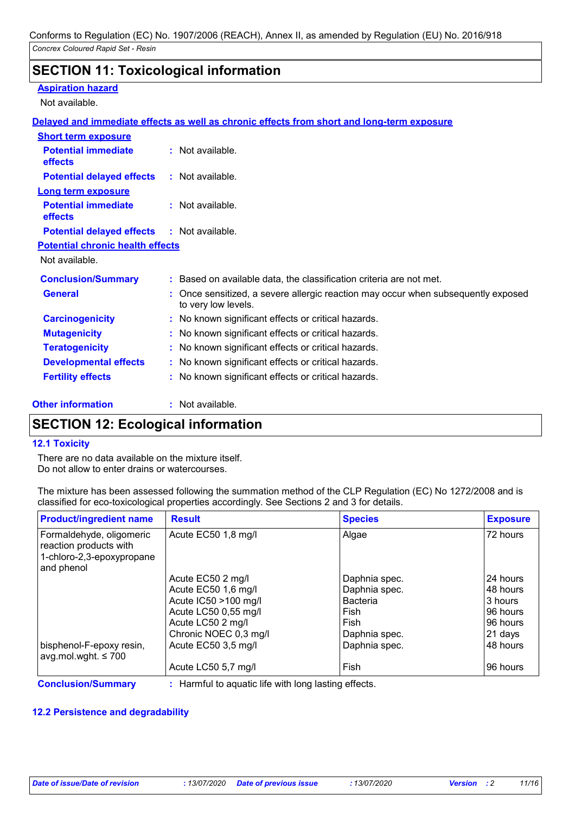## **SECTION 11: Toxicological information**

#### **Aspiration hazard**

Not available.

## **Delayed and immediate effects as well as chronic effects from short and long-term exposure**

| <b>Short term exposure</b>                   |                                                                                                          |
|----------------------------------------------|----------------------------------------------------------------------------------------------------------|
| <b>Potential immediate</b><br><b>effects</b> | $:$ Not available.                                                                                       |
| <b>Potential delayed effects</b>             | : Not available.                                                                                         |
| <b>Long term exposure</b>                    |                                                                                                          |
| <b>Potential immediate</b><br><b>effects</b> | $:$ Not available.                                                                                       |
| <b>Potential delayed effects</b>             | $:$ Not available.                                                                                       |
| <b>Potential chronic health effects</b>      |                                                                                                          |
| Not available.                               |                                                                                                          |
| <b>Conclusion/Summary</b>                    | : Based on available data, the classification criteria are not met.                                      |
| <b>General</b>                               | : Once sensitized, a severe allergic reaction may occur when subsequently exposed<br>to very low levels. |
| <b>Carcinogenicity</b>                       | : No known significant effects or critical hazards.                                                      |
| <b>Mutagenicity</b>                          | : No known significant effects or critical hazards.                                                      |
| <b>Teratogenicity</b>                        | : No known significant effects or critical hazards.                                                      |
| <b>Developmental effects</b>                 | : No known significant effects or critical hazards.                                                      |
| <b>Fertility effects</b>                     | : No known significant effects or critical hazards.                                                      |

**Other information :**

: Not available.

## **SECTION 12: Ecological information**

## **12.1 Toxicity**

There are no data available on the mixture itself. Do not allow to enter drains or watercourses.

| The mixture has been assessed following the summation method of the CLP Regulation (EC) No 1272/2008 and is |  |
|-------------------------------------------------------------------------------------------------------------|--|
| classified for eco-toxicological properties accordingly. See Sections 2 and 3 for details.                  |  |

| <b>Product/ingredient name</b>                                                                | <b>Result</b>         | <b>Species</b>  | <b>Exposure</b> |
|-----------------------------------------------------------------------------------------------|-----------------------|-----------------|-----------------|
| Formaldehyde, oligomeric<br>reaction products with<br>1-chloro-2,3-epoxypropane<br>and phenol | Acute EC50 1,8 mg/l   | Algae           | 72 hours        |
|                                                                                               | Acute EC50 2 mg/l     | Daphnia spec.   | 124 hours       |
|                                                                                               | Acute EC50 1,6 mg/l   | Daphnia spec.   | 148 hours       |
|                                                                                               | Acute IC50 >100 mg/l  | <b>Bacteria</b> | 3 hours         |
|                                                                                               | Acute LC50 0,55 mg/l  | Fish            | 196 hours       |
|                                                                                               | Acute LC50 2 mg/l     | Fish            | 196 hours       |
|                                                                                               | Chronic NOEC 0,3 mg/l | Daphnia spec.   | 21 days         |
| bisphenol-F-epoxy resin,<br>avg.mol.wght. $\leq 700$                                          | Acute EC50 3,5 mg/l   | Daphnia spec.   | 148 hours       |
|                                                                                               | Acute LC50 5,7 mg/l   | Fish            | 96 hours        |

**Conclusion/Summary :** Harmful to aquatic life with long lasting effects.

## **12.2 Persistence and degradability**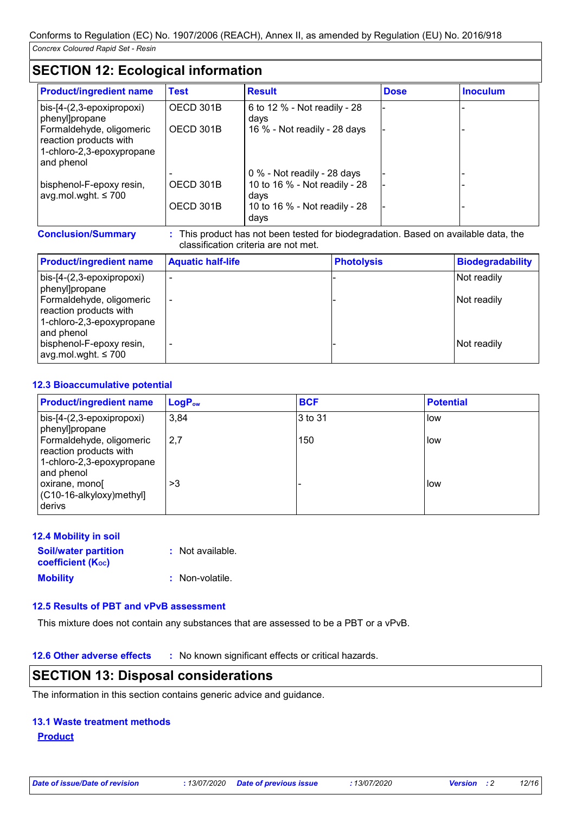## **SECTION 12: Ecological information**

| <b>Product/ingredient name</b>                                                                | <b>Test</b> | <b>Result</b>                         | <b>Dose</b> | <b>Inoculum</b> |
|-----------------------------------------------------------------------------------------------|-------------|---------------------------------------|-------------|-----------------|
| bis-[4-(2,3-epoxipropoxi)<br>phenyl]propane                                                   | OECD 301B   | 6 to 12 % - Not readily - 28<br>days  |             |                 |
| Formaldehyde, oligomeric<br>reaction products with<br>1-chloro-2,3-epoxypropane<br>and phenol | OECD 301B   | 16 % - Not readily - 28 days          |             |                 |
|                                                                                               |             | 0 % - Not readily - 28 days           |             |                 |
| bisphenol-F-epoxy resin,<br>avg.mol.wght. $\leq 700$                                          | OECD 301B   | 10 to 16 % - Not readily - 28<br>days |             |                 |
|                                                                                               | OECD 301B   | 10 to 16 % - Not readily - 28<br>days |             |                 |

**Conclusion/Summary :** This product has not been tested for biodegradation. Based on available data, the classification criteria are not met.

| <b>Product/ingredient name</b>                       | <b>Aquatic half-life</b> | <b>Photolysis</b> | <b>Biodegradability</b> |
|------------------------------------------------------|--------------------------|-------------------|-------------------------|
| bis-[4-(2,3-epoxipropoxi)<br>phenyl]propane          | $\overline{\phantom{a}}$ |                   | Not readily             |
| Formaldehyde, oligomeric<br>reaction products with   |                          |                   | Not readily             |
| 1-chloro-2,3-epoxypropane<br>and phenol              |                          |                   |                         |
| bisphenol-F-epoxy resin,<br>avg.mol.wght. $\leq 700$ |                          |                   | Not readily             |

## **12.3 Bioaccumulative potential**

| <b>Product/ingredient name</b>                                                                | <b>LogPow</b> | <b>BCF</b> | <b>Potential</b> |
|-----------------------------------------------------------------------------------------------|---------------|------------|------------------|
| bis-[4-(2,3-epoxipropoxi)<br>phenyl]propane                                                   | 3,84          | 3 to 31    | l low            |
| Formaldehyde, oligomeric<br>reaction products with<br>1-chloro-2,3-epoxypropane<br>and phenol | 2,7           | 150        | low              |
| oxirane, mono<br>(C10-16-alkyloxy)methyl]<br>derivs                                           | >3            |            | low              |

## **12.4 Mobility in soil**

| <b>Soil/water partition</b><br><b>coefficient</b> (K <sub>oc</sub> ) | : Not available. |
|----------------------------------------------------------------------|------------------|
| <b>Mobility</b>                                                      | : Non-volatile.  |

**12.5 Results of PBT and vPvB assessment**

This mixture does not contain any substances that are assessed to be a PBT or a vPvB.

**12.6 Other adverse effects** : No known significant effects or critical hazards.

## **SECTION 13: Disposal considerations**

The information in this section contains generic advice and guidance.

#### **13.1 Waste treatment methods**

**Product**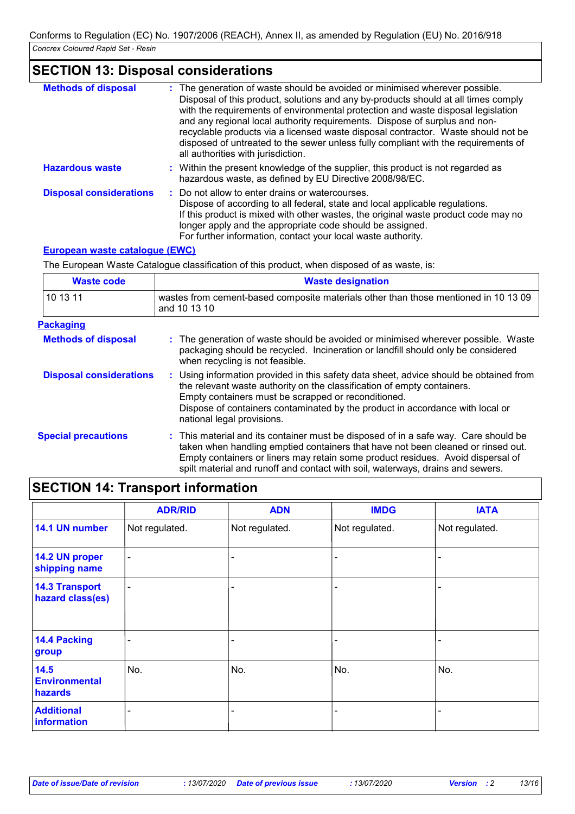## **SECTION 13: Disposal considerations**

| <b>Methods of disposal</b>     | : The generation of waste should be avoided or minimised wherever possible.<br>Disposal of this product, solutions and any by-products should at all times comply<br>with the requirements of environmental protection and waste disposal legislation<br>and any regional local authority requirements. Dispose of surplus and non-<br>recyclable products via a licensed waste disposal contractor. Waste should not be<br>disposed of untreated to the sewer unless fully compliant with the requirements of<br>all authorities with jurisdiction. |
|--------------------------------|------------------------------------------------------------------------------------------------------------------------------------------------------------------------------------------------------------------------------------------------------------------------------------------------------------------------------------------------------------------------------------------------------------------------------------------------------------------------------------------------------------------------------------------------------|
| <b>Hazardous waste</b>         | : Within the present knowledge of the supplier, this product is not regarded as<br>hazardous waste, as defined by EU Directive 2008/98/EC.                                                                                                                                                                                                                                                                                                                                                                                                           |
| <b>Disposal considerations</b> | : Do not allow to enter drains or watercourses.<br>Dispose of according to all federal, state and local applicable regulations.<br>If this product is mixed with other wastes, the original waste product code may no<br>longer apply and the appropriate code should be assigned.<br>For further information, contact your local waste authority.                                                                                                                                                                                                   |

## **European waste catalogue (EWC)**

The European Waste Catalogue classification of this product, when disposed of as waste, is:

| <b>Waste code</b>              | <b>Waste designation</b>                                                                                                                                                                                                                                                                                                                     |  |  |  |
|--------------------------------|----------------------------------------------------------------------------------------------------------------------------------------------------------------------------------------------------------------------------------------------------------------------------------------------------------------------------------------------|--|--|--|
| 10 13 11                       | wastes from cement-based composite materials other than those mentioned in 10 13 09<br>and 10 13 10                                                                                                                                                                                                                                          |  |  |  |
| <b>Packaging</b>               |                                                                                                                                                                                                                                                                                                                                              |  |  |  |
| <b>Methods of disposal</b>     | : The generation of waste should be avoided or minimised wherever possible. Waste<br>packaging should be recycled. Incineration or landfill should only be considered<br>when recycling is not feasible.                                                                                                                                     |  |  |  |
| <b>Disposal considerations</b> | : Using information provided in this safety data sheet, advice should be obtained from<br>the relevant waste authority on the classification of empty containers.<br>Empty containers must be scrapped or reconditioned.<br>Dispose of containers contaminated by the product in accordance with local or<br>national legal provisions.      |  |  |  |
| <b>Special precautions</b>     | : This material and its container must be disposed of in a safe way. Care should be<br>taken when handling emptied containers that have not been cleaned or rinsed out.<br>Empty containers or liners may retain some product residues. Avoid dispersal of<br>spilt material and runoff and contact with soil, waterways, drains and sewers. |  |  |  |

## **SECTION 14: Transport information**

|                                           | <b>ADR/RID</b>           | <b>ADN</b>     | <b>IMDG</b>    | <b>IATA</b>    |
|-------------------------------------------|--------------------------|----------------|----------------|----------------|
| 14.1 UN number                            | Not regulated.           | Not regulated. | Not regulated. | Not regulated. |
| 14.2 UN proper<br>shipping name           | $\overline{\phantom{a}}$ |                |                |                |
| <b>14.3 Transport</b><br>hazard class(es) | $\overline{\phantom{a}}$ | ۰              |                | -              |
| 14.4 Packing<br>group                     |                          |                |                |                |
| 14.5<br><b>Environmental</b><br>hazards   | No.                      | No.            | No.            | No.            |
| <b>Additional</b><br>information          |                          |                |                |                |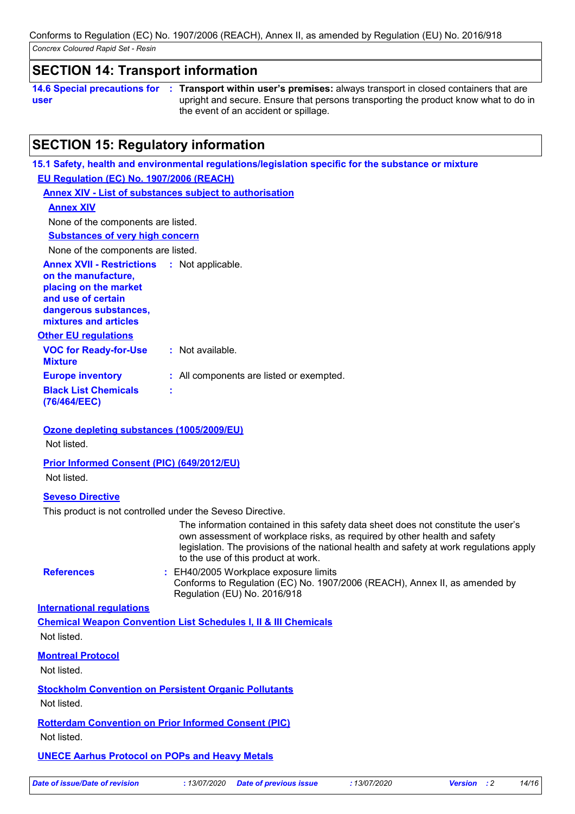## **SECTION 14: Transport information**

**14.6 Special precautions for user Transport within user's premises:** always transport in closed containers that are **:** upright and secure. Ensure that persons transporting the product know what to do in the event of an accident or spillage.

## **SECTION 15: Regulatory information**

**VOC for Ready-for-Use Mixture :** Not available. **15.1 Safety, health and environmental regulations/legislation specific for the substance or mixture Other EU regulations Annex XVII - Restrictions : Not applicable. on the manufacture, placing on the market and use of certain dangerous substances, mixtures and articles Europe inventory :** All components are listed or exempted. **Black List Chemicals (76/464/EEC) : EU Regulation (EC) No. 1907/2006 (REACH) Annex XIV - List of substances subject to authorisation Annex XIV Substances of very high concern** None of the components are listed. None of the components are listed. **Ozone depleting substances (1005/2009/EU)** Not listed.

**Prior Informed Consent (PIC) (649/2012/EU)**

Not listed.

## **Seveso Directive**

This product is not controlled under the Seveso Directive.

The information contained in this safety data sheet does not constitute the user's own assessment of workplace risks, as required by other health and safety legislation. The provisions of the national health and safety at work regulations apply to the use of this product at work.

**References :**

: EH40/2005 Workplace exposure limits Conforms to Regulation (EC) No. 1907/2006 (REACH), Annex II, as amended by Regulation (EU) No. 2016/918

## **International regulations**

**Chemical Weapon Convention List Schedules I, II & III Chemicals** Not listed.

## **Montreal Protocol**

Not listed.

**Stockholm Convention on Persistent Organic Pollutants**

Not listed.

**Rotterdam Convention on Prior Informed Consent (PIC)**

Not listed.

## **UNECE Aarhus Protocol on POPs and Heavy Metals**

*Date of issue/Date of revision* **:** *13/07/2020 Date of previous issue : 13/07/2020 Version : 2 14/16*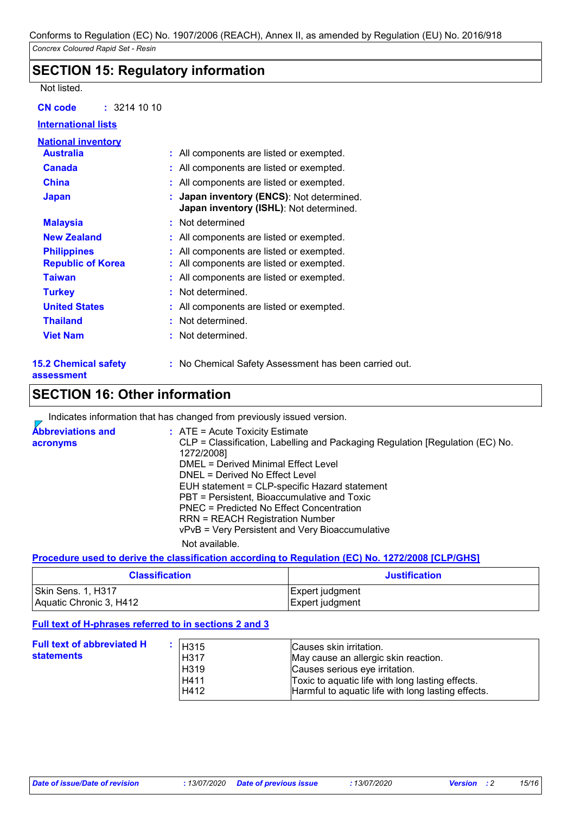## **SECTION 15: Regulatory information**

#### Not listed.

**CN code :** 3214 10 10

## **International lists National inventory Australia :** All components are listed or exempted. **Canada :** All components are listed or exempted. **China :** All components are listed or exempted. **Japan : Japan inventory (ENCS)**: Not determined. **Japan inventory (ISHL)**: Not determined. **Malaysia :** Not determined **New Zealand :** All components are listed or exempted. **Philippines :** All components are listed or exempted.

- **Republic of Korea :** All components are listed or exempted.
	-
- **Taiwan :** All components are listed or exempted.
- **Turkey :** Not determined.
- **United States :** All components are listed or exempted.
- **Thailand :** Not determined.
- **Viet Nam :** Not determined.

#### **15.2 Chemical safety assessment**

**:** No Chemical Safety Assessment has been carried out.

## **SECTION 16: Other information**

Indicates information that has changed from previously issued version.  $\overline{z}$ 

| <b>Abbreviations and</b> | $:$ ATE = Acute Toxicity Estimate                                             |
|--------------------------|-------------------------------------------------------------------------------|
| acronyms                 | CLP = Classification, Labelling and Packaging Regulation [Regulation (EC) No. |
|                          | 1272/2008]                                                                    |
|                          | DMEL = Derived Minimal Effect Level                                           |
|                          | DNEL = Derived No Effect Level                                                |
|                          | EUH statement = CLP-specific Hazard statement                                 |
|                          | PBT = Persistent, Bioaccumulative and Toxic                                   |
|                          | <b>PNEC = Predicted No Effect Concentration</b>                               |
|                          | <b>RRN = REACH Registration Number</b>                                        |
|                          | vPvB = Very Persistent and Very Bioaccumulative                               |
|                          | Not available.                                                                |

## **Procedure used to derive the classification according to Regulation (EC) No. 1272/2008 [CLP/GHS]**

| <b>Classification</b>   | <b>Justification</b> |
|-------------------------|----------------------|
| Skin Sens. 1, H317      | Expert judgment      |
| Aquatic Chronic 3, H412 | Expert judgment      |

## **Full text of H-phrases referred to in sections 2 and 3**

| <b>Full text of abbreviated H</b><br>statements | H315<br>H317<br>H319<br>H411 | Causes skin irritation.<br>May cause an allergic skin reaction.<br>Causes serious eye irritation.<br>Toxic to aquatic life with long lasting effects. |
|-------------------------------------------------|------------------------------|-------------------------------------------------------------------------------------------------------------------------------------------------------|
|                                                 | H412                         | Harmful to aquatic life with long lasting effects.                                                                                                    |